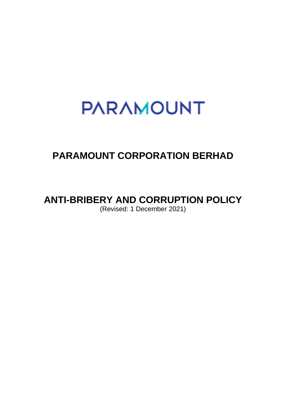# **PARAMOUNT**

### **PARAMOUNT CORPORATION BERHAD**

## **ANTI-BRIBERY AND CORRUPTION POLICY**

(Revised: 1 December 2021)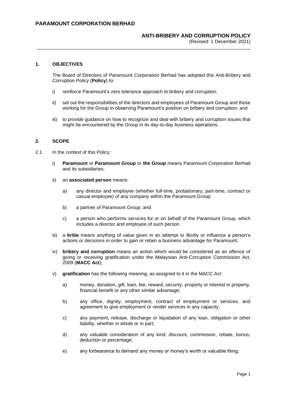(Revised: 1 December 2021) \_\_\_\_\_\_\_\_\_\_\_\_\_\_\_\_\_\_\_\_\_\_\_\_\_\_\_\_\_\_\_\_\_\_\_\_\_\_\_\_\_\_\_\_\_\_\_\_\_\_\_\_\_\_\_\_\_\_\_\_\_\_\_\_\_\_\_\_\_\_\_\_\_\_\_\_\_\_\_\_

#### **1. OBJECTIVES**

The Board of Directors of Paramount Corporation Berhad has adopted this Anti-Bribery and Corruption Policy (**Policy**) to:

- i) reinforce Paramount's zero tolerance approach to bribery and corruption;
- ii) set out the responsibilities of the directors and employees of Paramount Group and those working for the Group in observing Paramount's position on bribery and corruption; and
- iii) to provide guidance on how to recognize and deal with bribery and corruption issues that might be encountered by the Group in its day-to-day business operations.

#### **2. SCOPE**

- 2.1 In the context of this Policy:
	- i) **Paramount** or **Paramount Group** or **the Group** means Paramount Corporation Berhad and its subsidiaries;
	- ii) an **associated person** means:
		- a) any director and employee (whether full-time, probationary, part-time, contract or casual employee) of any company within the Paramount Group;
		- b) a partner of Paramount Group; and
		- c) a person who performs services for or on behalf of the Paramount Group, which includes a director and employee of such person.
	- iii) a **bribe** means anything of value given in an attempt to illicitly or influence a person's actions or decisions in order to gain or retain a business advantage for Paramount;
	- iv) **bribery and corruption** means an action which would be considered as an offence of giving or receiving gratification under the Malaysian Anti-Corruption Commission Act, 2009 (**MACC Act**);
	- v) **gratification** has the following meaning, as assigned to it in the MACC Act:
		- a) money, donation, gift, loan, fee, reward, security, property or interest in property, financial benefit or any other similar advantage;
		- b) any office, dignity, employment, contract of employment or services, and agreement to give employment or render services in any capacity;
		- c) any payment, release, discharge or liquidation of any loan, obligation or other liability, whether in whole or in part;
		- d) any valuable consideration of any kind, discount, commission, rebate, bonus, deduction or percentage;
		- e) any forbearance to demand any money or money's worth or valuable thing;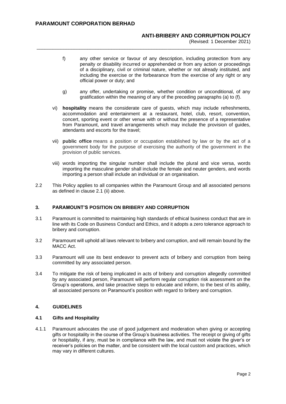(Revised: 1 December 2021)

f) any other service or favour of any description, including protection from any penalty or disability incurred or apprehended or from any action or proceedings of a disciplinary, civil or criminal nature, whether or not already instituted, and including the exercise or the forbearance from the exercise of any right or any official power or duty; and

\_\_\_\_\_\_\_\_\_\_\_\_\_\_\_\_\_\_\_\_\_\_\_\_\_\_\_\_\_\_\_\_\_\_\_\_\_\_\_\_\_\_\_\_\_\_\_\_\_\_\_\_\_\_\_\_\_\_\_\_\_\_\_\_\_\_\_\_\_\_\_\_\_\_\_\_\_\_\_\_

- g) any offer, undertaking or promise, whether condition or unconditional, of any gratification within the meaning of any of the preceding paragraphs (a) to (f).
- vi) **hospitality** means the considerate care of guests, which may include refreshments, accommodation and entertainment at a restaurant, hotel, club, resort, convention, concert, sporting event or other venue with or without the presence of a representative from Paramount, and travel arrangements which may include the provision of guides, attendants and escorts for the travel;
- vii) **public office** means a position or occupation established by law or by the act of a government body for the purpose of exercising the authority of the government in the provision of public services.
- viii) words importing the singular number shall include the plural and vice versa, words importing the masculine gender shall include the female and neuter genders, and words importing a person shall include an individual or an organisation.
- 2.2 This Policy applies to all companies within the Paramount Group and all associated persons as defined in clause 2.1 (ii) above.

#### **3. PARAMOUNT'S POSITION ON BRIBERY AND CORRUPTION**

- 3.1 Paramount is committed to maintaining high standards of ethical business conduct that are in line with its Code on Business Conduct and Ethics, and it adopts a zero tolerance approach to bribery and corruption.
- 3.2 Paramount will uphold all laws relevant to bribery and corruption, and will remain bound by the MACC Act.
- 3.3 Paramount will use its best endeavor to prevent acts of bribery and corruption from being committed by any associated person.
- 3.4 To mitigate the risk of being implicated in acts of bribery and corruption allegedly committed by any associated person, Paramount will perform regular corruption risk assessment on the Group's operations, and take proactive steps to educate and inform, to the best of its ability, all associated persons on Paramount's position with regard to bribery and corruption.

#### **4. GUIDELINES**

#### **4.1 Gifts and Hospitality**

4.1.1 Paramount advocates the use of good judgement and moderation when giving or accepting gifts or hospitality in the course of the Group's business activities. The receipt or giving of gifts or hospitality, if any, must be in compliance with the law, and must not violate the giver's or receiver's policies on the matter, and be consistent with the local custom and practices, which may vary in different cultures.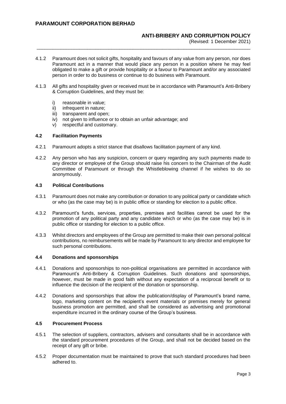(Revised: 1 December 2021)

4.1.2 Paramount does not solicit gifts, hospitality and favours of any value from any person, nor does Paramount act in a manner that would place any person in a position where he may feel obligated to make a gift or provide hospitality or a favour to Paramount and/or any associated person in order to do business or continue to do business with Paramount.

\_\_\_\_\_\_\_\_\_\_\_\_\_\_\_\_\_\_\_\_\_\_\_\_\_\_\_\_\_\_\_\_\_\_\_\_\_\_\_\_\_\_\_\_\_\_\_\_\_\_\_\_\_\_\_\_\_\_\_\_\_\_\_\_\_\_\_\_\_\_\_\_\_\_\_\_\_\_\_\_

- 4.1.3 All gifts and hospitality given or received must be in accordance with Paramount's Anti-Bribery & Corruption Guidelines, and they must be:
	- i) reasonable in value;
	- ii) infrequent in nature:
	- iii) transparent and open:
	- iv) not given to influence or to obtain an unfair advantage; and
	- v) respectful and customary.

#### **4.2 Facilitation Payments**

- 4.2.1 Paramount adopts a strict stance that disallows facilitation payment of any kind.
- 4.2.2 Any person who has any suspicion, concern or query regarding any such payments made to any director or employee of the Group should raise his concern to the Chairman of the Audit Committee of Paramount or through the Whistleblowing channel if he wishes to do so anonymously.

#### **4.3 Political Contributions**

- 4.3.1 Paramount does not make any contribution or donation to any political party or candidate which or who (as the case may be) is in public office or standing for election to a public office.
- 4.3.2 Paramount's funds, services, properties, premises and facilities cannot be used for the promotion of any political party and any candidate which or who (as the case may be) is in public office or standing for election to a public office.
- 4.3.3 Whilst directors and employees of the Group are permitted to make their own personal political contributions, no reimbursements will be made by Paramount to any director and employee for such personal contributions.

#### **4.4 Donations and sponsorships**

- 4.4.1 Donations and sponsorships to non-political organisations are permitted in accordance with Paramount's Anti-Bribery & Corruption Guidelines. Such donations and sponsorships, however, must be made in good faith without any expectation of a reciprocal benefit or to influence the decision of the recipient of the donation or sponsorship.
- 4.4.2 Donations and sponsorships that allow the publication/display of Paramount's brand name, logo, marketing content on the recipient's event materials or premises merely for general business promotion are permitted, and shall be considered as advertising and promotional expenditure incurred in the ordinary course of the Group's business.

#### **4.5 Procurement Process**

- 4.5.1 The selection of suppliers, contractors, advisers and consultants shall be in accordance with the standard procurement procedures of the Group, and shall not be decided based on the receipt of any gift or bribe.
- 4.5.2 Proper documentation must be maintained to prove that such standard procedures had been adhered to.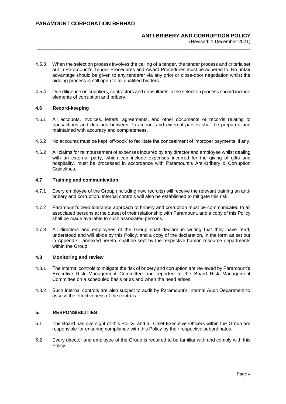(Revised: 1 December 2021)

4.5.3 When the selection process involves the calling of a tender, the tender process and criteria set out in Paramount's Tender Procedures and Award Procedures must be adhered to. No unfair advantage should be given to any tenderer via any prior or close-door negotiation whilst the bidding process is still open to all qualified bidders.

\_\_\_\_\_\_\_\_\_\_\_\_\_\_\_\_\_\_\_\_\_\_\_\_\_\_\_\_\_\_\_\_\_\_\_\_\_\_\_\_\_\_\_\_\_\_\_\_\_\_\_\_\_\_\_\_\_\_\_\_\_\_\_\_\_\_\_\_\_\_\_\_\_\_\_\_\_\_\_\_

4.5.4 Due diligence on suppliers, contractors and consultants in the selection process should include elements of corruption and bribery.

#### **4.6 Record-keeping**

- 4.6.1 All accounts, invoices, letters, agreements, and other documents or records relating to transactions and dealings between Paramount and external parties shall be prepared and maintained with accuracy and completeness.
- 4.6.2 No accounts must be kept 'off-book' to facilitate the concealment of improper payments, if any.
- 4.6.2 All claims for reimbursement of expenses incurred by any director and employee whilst dealing with an external party, which can include expenses incurred for the giving of gifts and hospitality, must be processed in accordance with Paramount's Anti-Bribery & Corruption Guidelines.

#### **4.7 Training and communication**

- 4.7.1 Every employee of the Group (including new recruits) will receive the relevant training on antibribery and corruption. Internal controls will also be established to mitigate this risk.
- 4.7.2 Paramount's zero tolerance approach to bribery and corruption must be communicated to all associated persons at the outset of their relationship with Paramount, and a copy of this Policy shall be made available to such associated persons.
- 4.7.3 All directors and employees of the Group shall declare in writing that they have read, understood and will abide by this Policy, and a copy of the declaration, in the form as set out in Appendix I annexed hereto, shall be kept by the respective human resource departments within the Group.

#### **4.8 Monitoring and review**

- 4.8.1 The internal controls to mitigate the risk of bribery and corruption are reviewed by Paramount's Executive Risk Management Committee and reported to the Board Risk Management Committee on a scheduled basis or as and when the need arises.
- 4.8.2 Such internal controls are also subject to audit by Paramount's Internal Audit Department to assess the effectiveness of the controls.

#### **5. RESPONSIBILITIES**

- 5.1 The Board has oversight of this Policy, and all Chief Executive Officers within the Group are responsible for ensuring compliance with this Policy by their respective subordinates.
- 5.2 Every director and employee of the Group is required to be familiar with and comply with this Policy.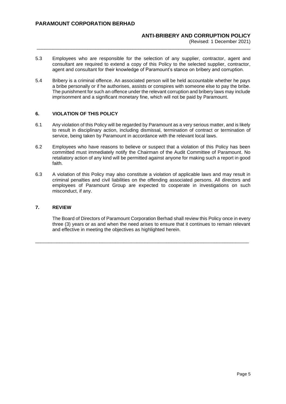(Revised: 1 December 2021)

5.3 Employees who are responsible for the selection of any supplier, contractor, agent and consultant are required to extend a copy of this Policy to the selected supplier, contractor, agent and consultant for their knowledge of Paramount's stance on bribery and corruption.

\_\_\_\_\_\_\_\_\_\_\_\_\_\_\_\_\_\_\_\_\_\_\_\_\_\_\_\_\_\_\_\_\_\_\_\_\_\_\_\_\_\_\_\_\_\_\_\_\_\_\_\_\_\_\_\_\_\_\_\_\_\_\_\_\_\_\_\_\_\_\_\_\_\_\_\_\_\_\_\_

5.4 Bribery is a criminal offence. An associated person will be held accountable whether he pays a bribe personally or if he authorises, assists or conspires with someone else to pay the bribe. The punishment for such an offence under the relevant corruption and bribery laws may include imprisonment and a significant monetary fine, which will not be paid by Paramount.

#### **6. VIOLATION OF THIS POLICY**

- 6.1 Any violation of this Policy will be regarded by Paramount as a very serious matter, and is likely to result in disciplinary action, including dismissal, termination of contract or termination of service, being taken by Paramount in accordance with the relevant local laws.
- 6.2 Employees who have reasons to believe or suspect that a violation of this Policy has been committed must immediately notify the Chairman of the Audit Committee of Paramount. No retaliatory action of any kind will be permitted against anyone for making such a report in good faith.
- 6.3 A violation of this Policy may also constitute a violation of applicable laws and may result in criminal penalties and civil liabilities on the offending associated persons. All directors and employees of Paramount Group are expected to cooperate in investigations on such misconduct, if any.

#### **7. REVIEW**

The Board of Directors of Paramount Corporation Berhad shall review this Policy once in every three (3) years or as and when the need arises to ensure that it continues to remain relevant and effective in meeting the objectives as highlighted herein.

\_\_\_\_\_\_\_\_\_\_\_\_\_\_\_\_\_\_\_\_\_\_\_\_\_\_\_\_\_\_\_\_\_\_\_\_\_\_\_\_\_\_\_\_\_\_\_\_\_\_\_\_\_\_\_\_\_\_\_\_\_\_\_\_\_\_\_\_\_\_\_\_\_\_\_\_\_\_\_\_